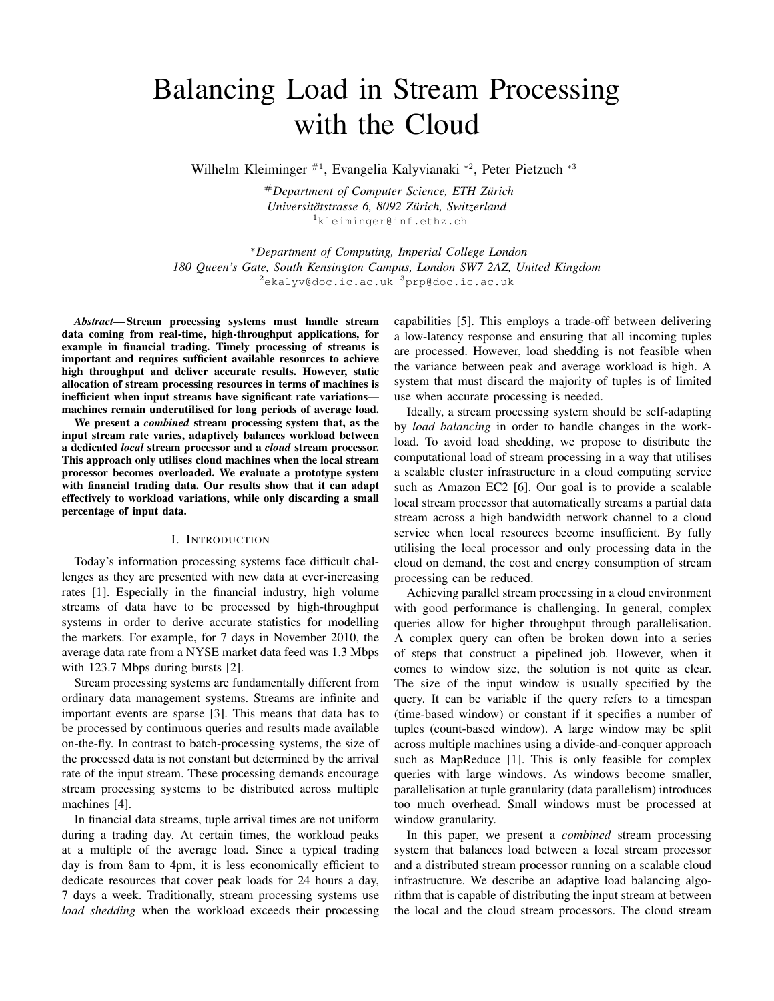# Balancing Load in Stream Processing with the Cloud

Wilhelm Kleiminger <sup>#1</sup>, Evangelia Kalyvianaki <sup>\*2</sup>, Peter Pietzuch <sup>\*3</sup>

#*Department of Computer Science, ETH Zurich ¨*  $Universitätstrasse 6, 8092 Zürich, Switzerland$ <sup>1</sup>kleiminger@inf.ethz.ch

<sup>∗</sup>*Department of Computing, Imperial College London 180 Queen's Gate, South Kensington Campus, London SW7 2AZ, United Kingdom* <sup>2</sup>ekalyv@doc.ic.ac.uk <sup>3</sup>prp@doc.ic.ac.uk

*Abstract*— Stream processing systems must handle stream data coming from real-time, high-throughput applications, for example in financial trading. Timely processing of streams is important and requires sufficient available resources to achieve high throughput and deliver accurate results. However, static allocation of stream processing resources in terms of machines is inefficient when input streams have significant rate variations machines remain underutilised for long periods of average load.

We present a *combined* stream processing system that, as the input stream rate varies, adaptively balances workload between a dedicated *local* stream processor and a *cloud* stream processor. This approach only utilises cloud machines when the local stream processor becomes overloaded. We evaluate a prototype system with financial trading data. Our results show that it can adapt effectively to workload variations, while only discarding a small percentage of input data.

#### I. INTRODUCTION

Today's information processing systems face difficult challenges as they are presented with new data at ever-increasing rates [1]. Especially in the financial industry, high volume streams of data have to be processed by high-throughput systems in order to derive accurate statistics for modelling the markets. For example, for 7 days in November 2010, the average data rate from a NYSE market data feed was 1.3 Mbps with 123.7 Mbps during bursts [2].

Stream processing systems are fundamentally different from ordinary data management systems. Streams are infinite and important events are sparse [3]. This means that data has to be processed by continuous queries and results made available on-the-fly. In contrast to batch-processing systems, the size of the processed data is not constant but determined by the arrival rate of the input stream. These processing demands encourage stream processing systems to be distributed across multiple machines [4].

In financial data streams, tuple arrival times are not uniform during a trading day. At certain times, the workload peaks at a multiple of the average load. Since a typical trading day is from 8am to 4pm, it is less economically efficient to dedicate resources that cover peak loads for 24 hours a day, 7 days a week. Traditionally, stream processing systems use *load shedding* when the workload exceeds their processing

capabilities [5]. This employs a trade-off between delivering a low-latency response and ensuring that all incoming tuples are processed. However, load shedding is not feasible when the variance between peak and average workload is high. A system that must discard the majority of tuples is of limited use when accurate processing is needed.

Ideally, a stream processing system should be self-adapting by *load balancing* in order to handle changes in the workload. To avoid load shedding, we propose to distribute the computational load of stream processing in a way that utilises a scalable cluster infrastructure in a cloud computing service such as Amazon EC2 [6]. Our goal is to provide a scalable local stream processor that automatically streams a partial data stream across a high bandwidth network channel to a cloud service when local resources become insufficient. By fully utilising the local processor and only processing data in the cloud on demand, the cost and energy consumption of stream processing can be reduced.

Achieving parallel stream processing in a cloud environment with good performance is challenging. In general, complex queries allow for higher throughput through parallelisation. A complex query can often be broken down into a series of steps that construct a pipelined job. However, when it comes to window size, the solution is not quite as clear. The size of the input window is usually specified by the query. It can be variable if the query refers to a timespan (time-based window) or constant if it specifies a number of tuples (count-based window). A large window may be split across multiple machines using a divide-and-conquer approach such as MapReduce [1]. This is only feasible for complex queries with large windows. As windows become smaller, parallelisation at tuple granularity (data parallelism) introduces too much overhead. Small windows must be processed at window granularity.

In this paper, we present a *combined* stream processing system that balances load between a local stream processor and a distributed stream processor running on a scalable cloud infrastructure. We describe an adaptive load balancing algorithm that is capable of distributing the input stream at between the local and the cloud stream processors. The cloud stream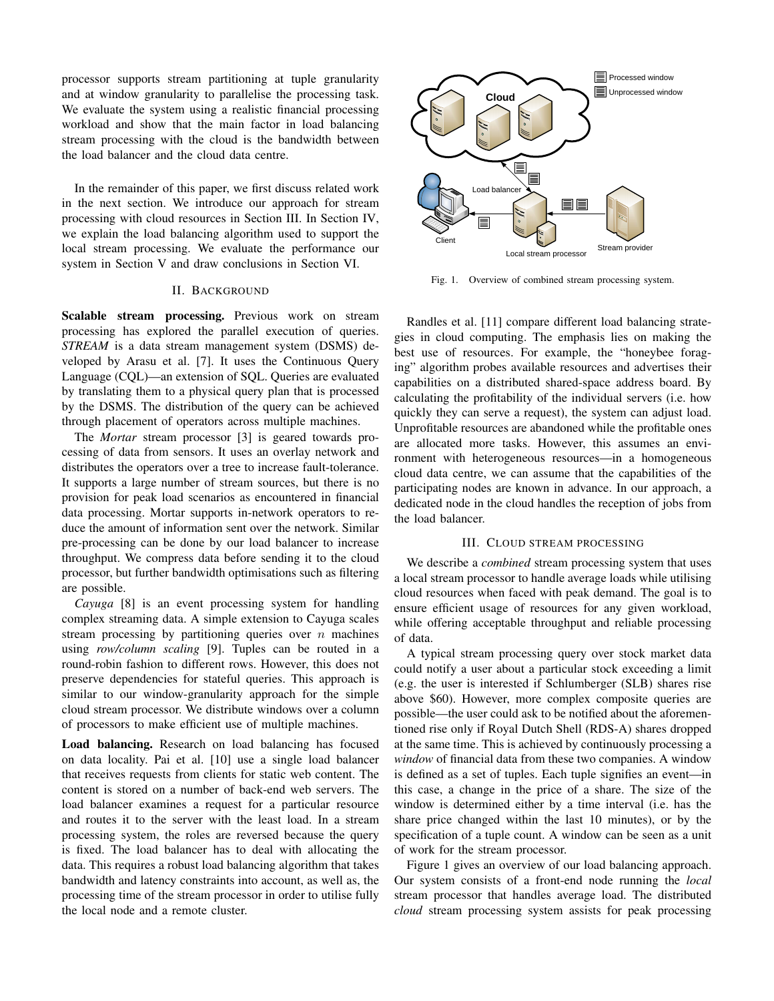processor supports stream partitioning at tuple granularity and at window granularity to parallelise the processing task. We evaluate the system using a realistic financial processing workload and show that the main factor in load balancing stream processing with the cloud is the bandwidth between the load balancer and the cloud data centre.

In the remainder of this paper, we first discuss related work in the next section. We introduce our approach for stream processing with cloud resources in Section III. In Section IV, we explain the load balancing algorithm used to support the local stream processing. We evaluate the performance our system in Section V and draw conclusions in Section VI.

## II. BACKGROUND

Scalable stream processing. Previous work on stream processing has explored the parallel execution of queries. *STREAM* is a data stream management system (DSMS) developed by Arasu et al. [7]. It uses the Continuous Query Language (CQL)—an extension of SQL. Queries are evaluated by translating them to a physical query plan that is processed by the DSMS. The distribution of the query can be achieved through placement of operators across multiple machines.

The *Mortar* stream processor [3] is geared towards processing of data from sensors. It uses an overlay network and distributes the operators over a tree to increase fault-tolerance. It supports a large number of stream sources, but there is no provision for peak load scenarios as encountered in financial data processing. Mortar supports in-network operators to reduce the amount of information sent over the network. Similar pre-processing can be done by our load balancer to increase throughput. We compress data before sending it to the cloud processor, but further bandwidth optimisations such as filtering are possible.

*Cayuga* [8] is an event processing system for handling complex streaming data. A simple extension to Cayuga scales stream processing by partitioning queries over  $n$  machines using *row/column scaling* [9]. Tuples can be routed in a round-robin fashion to different rows. However, this does not preserve dependencies for stateful queries. This approach is similar to our window-granularity approach for the simple cloud stream processor. We distribute windows over a column of processors to make efficient use of multiple machines.

Load balancing. Research on load balancing has focused on data locality. Pai et al. [10] use a single load balancer that receives requests from clients for static web content. The content is stored on a number of back-end web servers. The load balancer examines a request for a particular resource and routes it to the server with the least load. In a stream processing system, the roles are reversed because the query is fixed. The load balancer has to deal with allocating the data. This requires a robust load balancing algorithm that takes bandwidth and latency constraints into account, as well as, the processing time of the stream processor in order to utilise fully the local node and a remote cluster.



Fig. 1. Overview of combined stream processing system.

Randles et al. [11] compare different load balancing strategies in cloud computing. The emphasis lies on making the best use of resources. For example, the "honeybee foraging" algorithm probes available resources and advertises their capabilities on a distributed shared-space address board. By calculating the profitability of the individual servers (i.e. how quickly they can serve a request), the system can adjust load. Unprofitable resources are abandoned while the profitable ones are allocated more tasks. However, this assumes an environment with heterogeneous resources—in a homogeneous cloud data centre, we can assume that the capabilities of the participating nodes are known in advance. In our approach, a dedicated node in the cloud handles the reception of jobs from the load balancer.

#### III. CLOUD STREAM PROCESSING

We describe a *combined* stream processing system that uses a local stream processor to handle average loads while utilising cloud resources when faced with peak demand. The goal is to ensure efficient usage of resources for any given workload, while offering acceptable throughput and reliable processing of data.

A typical stream processing query over stock market data could notify a user about a particular stock exceeding a limit (e.g. the user is interested if Schlumberger (SLB) shares rise above \$60). However, more complex composite queries are possible—the user could ask to be notified about the aforementioned rise only if Royal Dutch Shell (RDS-A) shares dropped at the same time. This is achieved by continuously processing a *window* of financial data from these two companies. A window is defined as a set of tuples. Each tuple signifies an event—in this case, a change in the price of a share. The size of the window is determined either by a time interval (i.e. has the share price changed within the last 10 minutes), or by the specification of a tuple count. A window can be seen as a unit of work for the stream processor.

Figure 1 gives an overview of our load balancing approach. Our system consists of a front-end node running the *local* stream processor that handles average load. The distributed *cloud* stream processing system assists for peak processing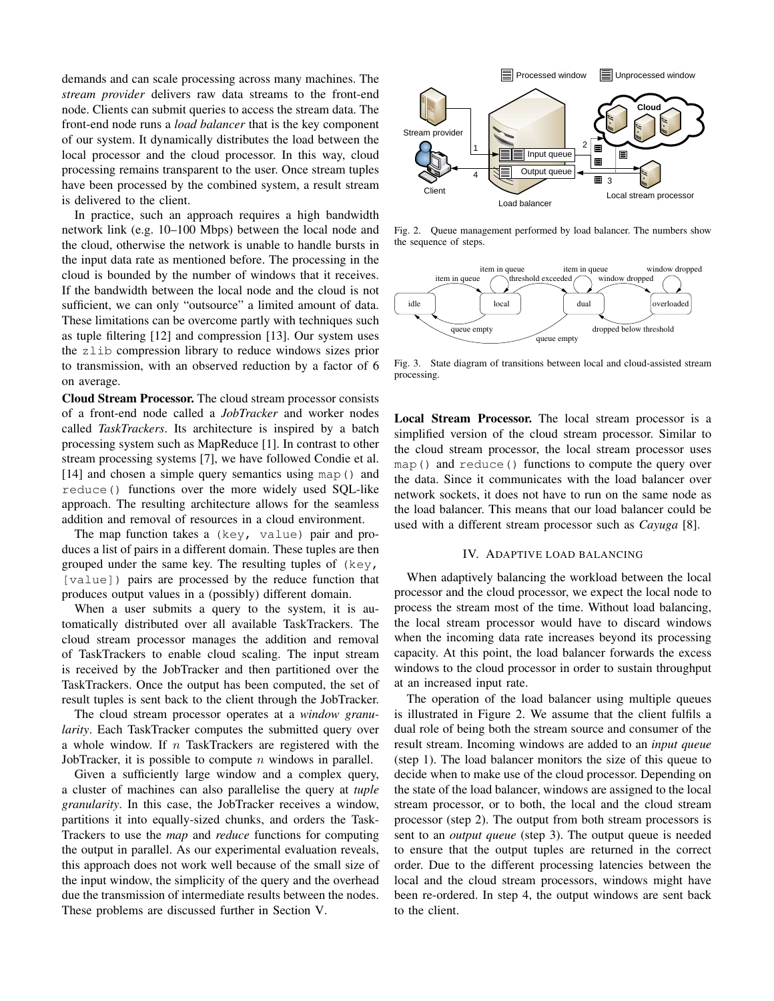demands and can scale processing across many machines. The *stream provider* delivers raw data streams to the front-end node. Clients can submit queries to access the stream data. The front-end node runs a *load balancer* that is the key component of our system. It dynamically distributes the load between the local processor and the cloud processor. In this way, cloud processing remains transparent to the user. Once stream tuples have been processed by the combined system, a result stream is delivered to the client.

In practice, such an approach requires a high bandwidth network link (e.g. 10–100 Mbps) between the local node and the cloud, otherwise the network is unable to handle bursts in the input data rate as mentioned before. The processing in the cloud is bounded by the number of windows that it receives. If the bandwidth between the local node and the cloud is not sufficient, we can only "outsource" a limited amount of data. These limitations can be overcome partly with techniques such as tuple filtering [12] and compression [13]. Our system uses the zlib compression library to reduce windows sizes prior to transmission, with an observed reduction by a factor of 6 on average.

Cloud Stream Processor. The cloud stream processor consists of a front-end node called a *JobTracker* and worker nodes called *TaskTrackers*. Its architecture is inspired by a batch processing system such as MapReduce [1]. In contrast to other stream processing systems [7], we have followed Condie et al. [14] and chosen a simple query semantics using map() and reduce() functions over the more widely used SQL-like approach. The resulting architecture allows for the seamless addition and removal of resources in a cloud environment.

The map function takes a (key, value) pair and produces a list of pairs in a different domain. These tuples are then grouped under the same key. The resulting tuples of  $(key,$ [value]) pairs are processed by the reduce function that produces output values in a (possibly) different domain.

When a user submits a query to the system, it is automatically distributed over all available TaskTrackers. The cloud stream processor manages the addition and removal of TaskTrackers to enable cloud scaling. The input stream is received by the JobTracker and then partitioned over the TaskTrackers. Once the output has been computed, the set of result tuples is sent back to the client through the JobTracker.

The cloud stream processor operates at a *window granularity*. Each TaskTracker computes the submitted query over a whole window. If  $n$  TaskTrackers are registered with the JobTracker, it is possible to compute  $n$  windows in parallel.

Given a sufficiently large window and a complex query, a cluster of machines can also parallelise the query at *tuple granularity*. In this case, the JobTracker receives a window, partitions it into equally-sized chunks, and orders the Task-Trackers to use the *map* and *reduce* functions for computing the output in parallel. As our experimental evaluation reveals, this approach does not work well because of the small size of the input window, the simplicity of the query and the overhead due the transmission of intermediate results between the nodes. These problems are discussed further in Section V.



Fig. 2. Queue management performed by load balancer. The numbers show the sequence of steps.



Fig. 3. State diagram of transitions between local and cloud-assisted stream processing.

Local Stream Processor. The local stream processor is a simplified version of the cloud stream processor. Similar to the cloud stream processor, the local stream processor uses map() and reduce() functions to compute the query over the data. Since it communicates with the load balancer over network sockets, it does not have to run on the same node as the load balancer. This means that our load balancer could be used with a different stream processor such as *Cayuga* [8].

#### IV. ADAPTIVE LOAD BALANCING

When adaptively balancing the workload between the local processor and the cloud processor, we expect the local node to process the stream most of the time. Without load balancing, the local stream processor would have to discard windows when the incoming data rate increases beyond its processing capacity. At this point, the load balancer forwards the excess windows to the cloud processor in order to sustain throughput at an increased input rate.

The operation of the load balancer using multiple queues is illustrated in Figure 2. We assume that the client fulfils a dual role of being both the stream source and consumer of the result stream. Incoming windows are added to an *input queue* (step 1). The load balancer monitors the size of this queue to decide when to make use of the cloud processor. Depending on the state of the load balancer, windows are assigned to the local stream processor, or to both, the local and the cloud stream processor (step 2). The output from both stream processors is sent to an *output queue* (step 3). The output queue is needed to ensure that the output tuples are returned in the correct order. Due to the different processing latencies between the local and the cloud stream processors, windows might have been re-ordered. In step 4, the output windows are sent back to the client.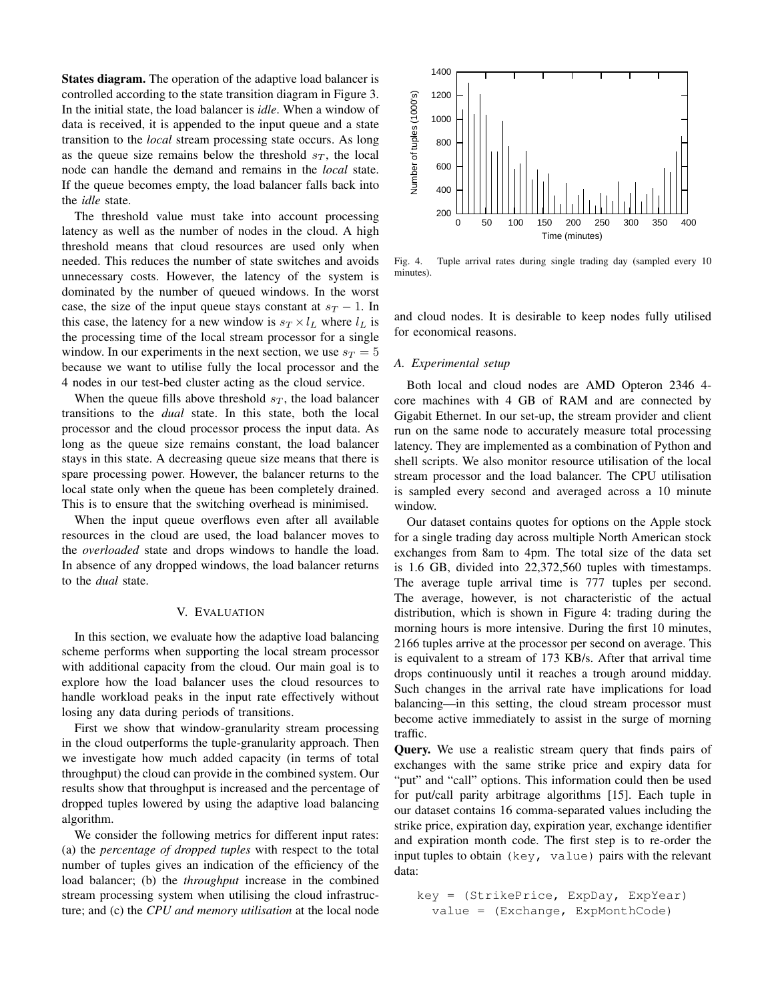States diagram. The operation of the adaptive load balancer is controlled according to the state transition diagram in Figure 3. In the initial state, the load balancer is *idle*. When a window of data is received, it is appended to the input queue and a state transition to the *local* stream processing state occurs. As long as the queue size remains below the threshold  $s_T$ , the local node can handle the demand and remains in the *local* state. If the queue becomes empty, the load balancer falls back into the *idle* state.

The threshold value must take into account processing latency as well as the number of nodes in the cloud. A high threshold means that cloud resources are used only when needed. This reduces the number of state switches and avoids unnecessary costs. However, the latency of the system is dominated by the number of queued windows. In the worst case, the size of the input queue stays constant at  $s_T - 1$ . In this case, the latency for a new window is  $s_T \times l_L$  where  $l_L$  is the processing time of the local stream processor for a single window. In our experiments in the next section, we use  $s_T = 5$ because we want to utilise fully the local processor and the 4 nodes in our test-bed cluster acting as the cloud service.

When the queue fills above threshold  $s_T$ , the load balancer transitions to the *dual* state. In this state, both the local processor and the cloud processor process the input data. As long as the queue size remains constant, the load balancer stays in this state. A decreasing queue size means that there is spare processing power. However, the balancer returns to the local state only when the queue has been completely drained. This is to ensure that the switching overhead is minimised.

When the input queue overflows even after all available resources in the cloud are used, the load balancer moves to the *overloaded* state and drops windows to handle the load. In absence of any dropped windows, the load balancer returns to the *dual* state.

#### V. EVALUATION

In this section, we evaluate how the adaptive load balancing scheme performs when supporting the local stream processor with additional capacity from the cloud. Our main goal is to explore how the load balancer uses the cloud resources to handle workload peaks in the input rate effectively without losing any data during periods of transitions.

First we show that window-granularity stream processing in the cloud outperforms the tuple-granularity approach. Then we investigate how much added capacity (in terms of total throughput) the cloud can provide in the combined system. Our results show that throughput is increased and the percentage of dropped tuples lowered by using the adaptive load balancing algorithm.

We consider the following metrics for different input rates: (a) the *percentage of dropped tuples* with respect to the total number of tuples gives an indication of the efficiency of the load balancer; (b) the *throughput* increase in the combined stream processing system when utilising the cloud infrastructure; and (c) the *CPU and memory utilisation* at the local node



Fig. 4. Tuple arrival rates during single trading day (sampled every 10 minutes).

and cloud nodes. It is desirable to keep nodes fully utilised for economical reasons.

#### *A. Experimental setup*

Both local and cloud nodes are AMD Opteron 2346 4 core machines with 4 GB of RAM and are connected by Gigabit Ethernet. In our set-up, the stream provider and client run on the same node to accurately measure total processing latency. They are implemented as a combination of Python and shell scripts. We also monitor resource utilisation of the local stream processor and the load balancer. The CPU utilisation is sampled every second and averaged across a 10 minute window.

Our dataset contains quotes for options on the Apple stock for a single trading day across multiple North American stock exchanges from 8am to 4pm. The total size of the data set is 1.6 GB, divided into 22,372,560 tuples with timestamps. The average tuple arrival time is 777 tuples per second. The average, however, is not characteristic of the actual distribution, which is shown in Figure 4: trading during the morning hours is more intensive. During the first 10 minutes, 2166 tuples arrive at the processor per second on average. This is equivalent to a stream of 173 KB/s. After that arrival time drops continuously until it reaches a trough around midday. Such changes in the arrival rate have implications for load balancing—in this setting, the cloud stream processor must become active immediately to assist in the surge of morning traffic.

Query. We use a realistic stream query that finds pairs of exchanges with the same strike price and expiry data for "put" and "call" options. This information could then be used for put/call parity arbitrage algorithms [15]. Each tuple in our dataset contains 16 comma-separated values including the strike price, expiration day, expiration year, exchange identifier and expiration month code. The first step is to re-order the input tuples to obtain (key, value) pairs with the relevant data:

key = (StrikePrice, ExpDay, ExpYear) value = (Exchange, ExpMonthCode)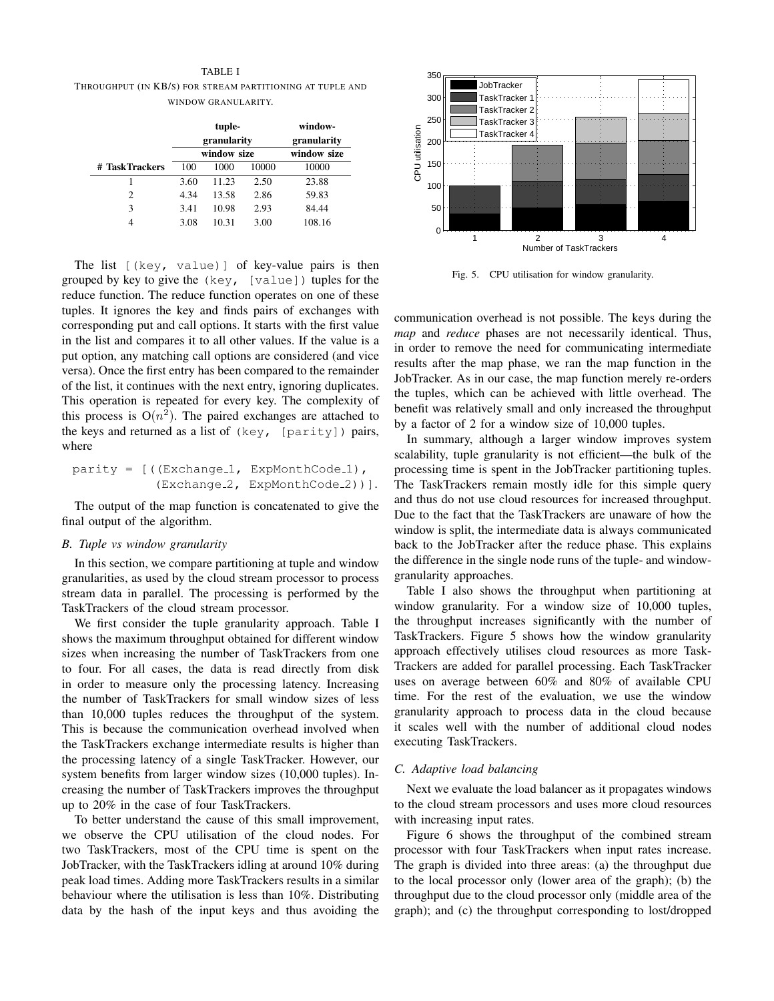TABLE I THROUGHPUT (IN KB/S) FOR STREAM PARTITIONING AT TUPLE AND WINDOW GRANULARITY.

|                | tuple-<br>granularity |       |       | window-<br>granularity |
|----------------|-----------------------|-------|-------|------------------------|
|                | window size           |       |       | window size            |
| # TaskTrackers | 100                   | 1000  | 10000 | 10000                  |
|                | 3.60                  | 11.23 | 2.50  | 23.88                  |
| $\overline{c}$ | 4.34                  | 13.58 | 2.86  | 59.83                  |
| 3              | 3.41                  | 10.98 | 2.93  | 84.44                  |
| 4              | 3.08                  | 10.31 | 3.00  | 108.16                 |

The list [(key, value)] of key-value pairs is then grouped by key to give the (key, [value]) tuples for the reduce function. The reduce function operates on one of these tuples. It ignores the key and finds pairs of exchanges with corresponding put and call options. It starts with the first value in the list and compares it to all other values. If the value is a put option, any matching call options are considered (and vice versa). Once the first entry has been compared to the remainder of the list, it continues with the next entry, ignoring duplicates. This operation is repeated for every key. The complexity of this process is  $O(n^2)$ . The paired exchanges are attached to the keys and returned as a list of  $(key, [parity])$  pairs, where

```
parity = [( (Exchange<sub>-1</sub>, ExpMonthCode<sub>-1</sub>),
      (Exchange<sub>-2</sub>, ExpMonthCode<sub>-2</sub>))].
```
The output of the map function is concatenated to give the final output of the algorithm.

#### *B. Tuple vs window granularity*

In this section, we compare partitioning at tuple and window granularities, as used by the cloud stream processor to process stream data in parallel. The processing is performed by the TaskTrackers of the cloud stream processor.

We first consider the tuple granularity approach. Table I shows the maximum throughput obtained for different window sizes when increasing the number of TaskTrackers from one to four. For all cases, the data is read directly from disk in order to measure only the processing latency. Increasing the number of TaskTrackers for small window sizes of less than 10,000 tuples reduces the throughput of the system. This is because the communication overhead involved when the TaskTrackers exchange intermediate results is higher than the processing latency of a single TaskTracker. However, our system benefits from larger window sizes (10,000 tuples). Increasing the number of TaskTrackers improves the throughput up to 20% in the case of four TaskTrackers.

To better understand the cause of this small improvement, we observe the CPU utilisation of the cloud nodes. For two TaskTrackers, most of the CPU time is spent on the JobTracker, with the TaskTrackers idling at around 10% during peak load times. Adding more TaskTrackers results in a similar behaviour where the utilisation is less than 10%. Distributing data by the hash of the input keys and thus avoiding the



Fig. 5. CPU utilisation for window granularity.

communication overhead is not possible. The keys during the *map* and *reduce* phases are not necessarily identical. Thus, in order to remove the need for communicating intermediate results after the map phase, we ran the map function in the JobTracker. As in our case, the map function merely re-orders the tuples, which can be achieved with little overhead. The benefit was relatively small and only increased the throughput by a factor of 2 for a window size of 10,000 tuples.

In summary, although a larger window improves system scalability, tuple granularity is not efficient—the bulk of the processing time is spent in the JobTracker partitioning tuples. The TaskTrackers remain mostly idle for this simple query and thus do not use cloud resources for increased throughput. Due to the fact that the TaskTrackers are unaware of how the window is split, the intermediate data is always communicated back to the JobTracker after the reduce phase. This explains the difference in the single node runs of the tuple- and windowgranularity approaches.

Table I also shows the throughput when partitioning at window granularity. For a window size of 10,000 tuples, the throughput increases significantly with the number of TaskTrackers. Figure 5 shows how the window granularity approach effectively utilises cloud resources as more Task-Trackers are added for parallel processing. Each TaskTracker uses on average between 60% and 80% of available CPU time. For the rest of the evaluation, we use the window granularity approach to process data in the cloud because it scales well with the number of additional cloud nodes executing TaskTrackers.

#### *C. Adaptive load balancing*

Next we evaluate the load balancer as it propagates windows to the cloud stream processors and uses more cloud resources with increasing input rates.

Figure 6 shows the throughput of the combined stream processor with four TaskTrackers when input rates increase. The graph is divided into three areas: (a) the throughput due to the local processor only (lower area of the graph); (b) the throughput due to the cloud processor only (middle area of the graph); and (c) the throughput corresponding to lost/dropped